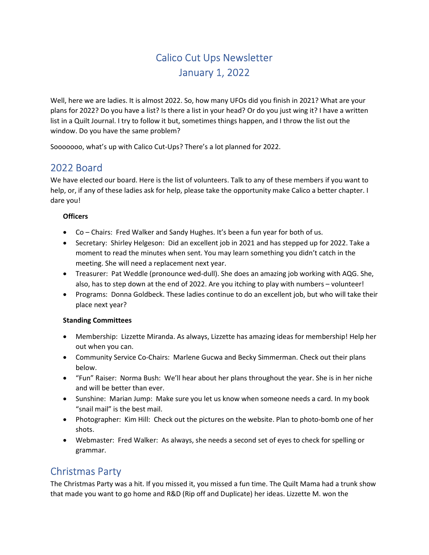# Calico Cut Ups Newsletter January 1, 2022

Well, here we are ladies. It is almost 2022. So, how many UFOs did you finish in 2021? What are your plans for 2022? Do you have a list? Is there a list in your head? Or do you just wing it? I have a written list in a Quilt Journal. I try to follow it but, sometimes things happen, and I throw the list out the window. Do you have the same problem?

Sooooooo, what's up with Calico Cut-Ups? There's a lot planned for 2022.

#### 2022 Board

We have elected our board. Here is the list of volunteers. Talk to any of these members if you want to help, or, if any of these ladies ask for help, please take the opportunity make Calico a better chapter. I dare you!

#### **Officers**

- Co Chairs: Fred Walker and Sandy Hughes. It's been a fun year for both of us.
- Secretary: Shirley Helgeson: Did an excellent job in 2021 and has stepped up for 2022. Take a moment to read the minutes when sent. You may learn something you didn't catch in the meeting. She will need a replacement next year.
- Treasurer: Pat Weddle (pronounce wed-dull). She does an amazing job working with AQG. She, also, has to step down at the end of 2022. Are you itching to play with numbers – volunteer!
- Programs: Donna Goldbeck. These ladies continue to do an excellent job, but who will take their place next year?

#### Standing Committees

- Membership: Lizzette Miranda. As always, Lizzette has amazing ideas for membership! Help her out when you can.
- Community Service Co-Chairs: Marlene Gucwa and Becky Simmerman. Check out their plans below.
- "Fun" Raiser: Norma Bush: We'll hear about her plans throughout the year. She is in her niche and will be better than ever.
- Sunshine: Marian Jump: Make sure you let us know when someone needs a card. In my book "snail mail" is the best mail.
- Photographer: Kim Hill: Check out the pictures on the website. Plan to photo-bomb one of her shots.
- Webmaster: Fred Walker: As always, she needs a second set of eyes to check for spelling or grammar.

# Christmas Party

The Christmas Party was a hit. If you missed it, you missed a fun time. The Quilt Mama had a trunk show that made you want to go home and R&D (Rip off and Duplicate) her ideas. Lizzette M. won the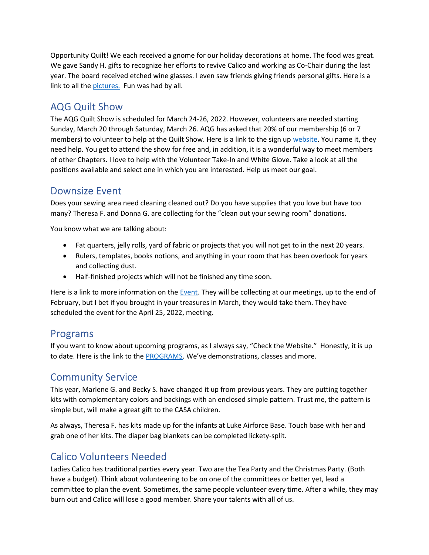Opportunity Quilt! We each received a gnome for our holiday decorations at home. The food was great. We gave Sandy H. gifts to recognize her efforts to revive Calico and working as Co-Chair during the last year. The board received etched wine glasses. I even saw friends giving friends personal gifts. Here is a link to all the pictures. Fun was had by all.

## AQG Quilt Show

The AQG Quilt Show is scheduled for March 24-26, 2022. However, volunteers are needed starting Sunday, March 20 through Saturday, March 26. AQG has asked that 20% of our membership (6 or 7 members) to volunteer to help at the Quilt Show. Here is a link to the sign up website. You name it, they need help. You get to attend the show for free and, in addition, it is a wonderful way to meet members of other Chapters. I love to help with the Volunteer Take-In and White Glove. Take a look at all the positions available and select one in which you are interested. Help us meet our goal.

# Downsize Event

Does your sewing area need cleaning cleaned out? Do you have supplies that you love but have too many? Theresa F. and Donna G. are collecting for the "clean out your sewing room" donations.

You know what we are talking about:

- Fat quarters, jelly rolls, yard of fabric or projects that you will not get to in the next 20 years.
- Rulers, templates, books notions, and anything in your room that has been overlook for years and collecting dust.
- Half-finished projects which will not be finished any time soon.

Here is a link to more information on the **Event**. They will be collecting at our meetings, up to the end of February, but I bet if you brought in your treasures in March, they would take them. They have scheduled the event for the April 25, 2022, meeting.

#### Programs

If you want to know about upcoming programs, as I always say, "Check the Website." Honestly, it is up to date. Here is the link to the PROGRAMS. We've demonstrations, classes and more.

#### Community Service

This year, Marlene G. and Becky S. have changed it up from previous years. They are putting together kits with complementary colors and backings with an enclosed simple pattern. Trust me, the pattern is simple but, will make a great gift to the CASA children.

As always, Theresa F. has kits made up for the infants at Luke Airforce Base. Touch base with her and grab one of her kits. The diaper bag blankets can be completed lickety-split.

# Calico Volunteers Needed

Ladies Calico has traditional parties every year. Two are the Tea Party and the Christmas Party. (Both have a budget). Think about volunteering to be on one of the committees or better yet, lead a committee to plan the event. Sometimes, the same people volunteer every time. After a while, they may burn out and Calico will lose a good member. Share your talents with all of us.